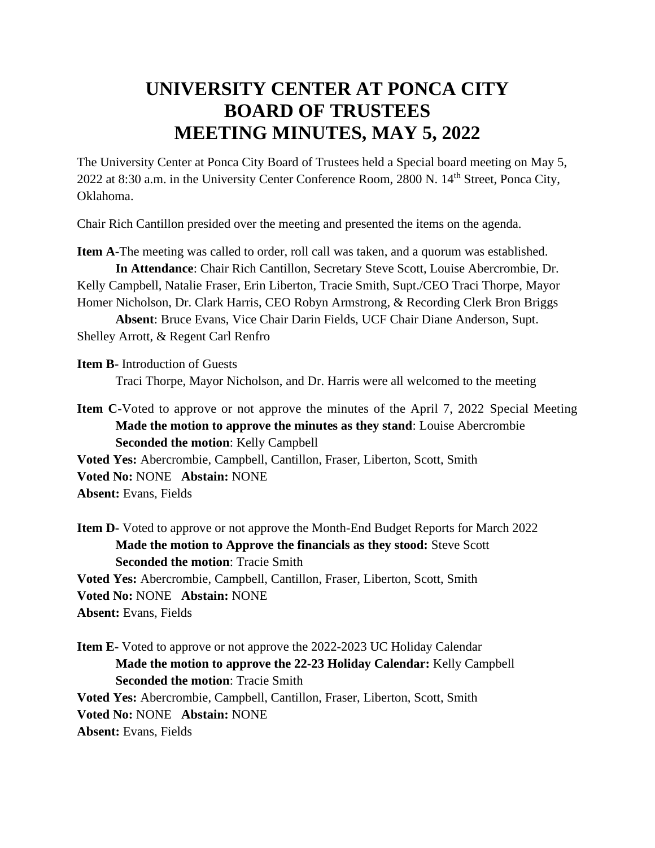## **UNIVERSITY CENTER AT PONCA CITY BOARD OF TRUSTEES MEETING MINUTES, MAY 5, 2022**

The University Center at Ponca City Board of Trustees held a Special board meeting on May 5, 2022 at 8:30 a.m. in the University Center Conference Room, 2800 N. 14<sup>th</sup> Street, Ponca City, Oklahoma.

Chair Rich Cantillon presided over the meeting and presented the items on the agenda.

**Item A**-The meeting was called to order, roll call was taken, and a quorum was established. **In Attendance**: Chair Rich Cantillon, Secretary Steve Scott, Louise Abercrombie, Dr. Kelly Campbell, Natalie Fraser, Erin Liberton, Tracie Smith, Supt./CEO Traci Thorpe, Mayor Homer Nicholson, Dr. Clark Harris, CEO Robyn Armstrong, & Recording Clerk Bron Briggs

**Absent**: Bruce Evans, Vice Chair Darin Fields, UCF Chair Diane Anderson, Supt. Shelley Arrott, & Regent Carl Renfro

**Item B-** Introduction of Guests Traci Thorpe, Mayor Nicholson, and Dr. Harris were all welcomed to the meeting

**Item C-**Voted to approve or not approve the minutes of the April 7, 2022 Special Meeting **Made the motion to approve the minutes as they stand**: Louise Abercrombie **Seconded the motion**: Kelly Campbell

**Voted Yes:** Abercrombie, Campbell, Cantillon, Fraser, Liberton, Scott, Smith **Voted No:** NONE **Abstain:** NONE **Absent:** Evans, Fields

**Item D-** Voted to approve or not approve the Month-End Budget Reports for March 2022 **Made the motion to Approve the financials as they stood:** Steve Scott **Seconded the motion**: Tracie Smith **Voted Yes:** Abercrombie, Campbell, Cantillon, Fraser, Liberton, Scott, Smith **Voted No:** NONE **Abstain:** NONE

**Absent:** Evans, Fields

**Item E-** Voted to approve or not approve the 2022-2023 UC Holiday Calendar **Made the motion to approve the 22-23 Holiday Calendar:** Kelly Campbell **Seconded the motion**: Tracie Smith **Voted Yes:** Abercrombie, Campbell, Cantillon, Fraser, Liberton, Scott, Smith **Voted No:** NONE **Abstain:** NONE **Absent:** Evans, Fields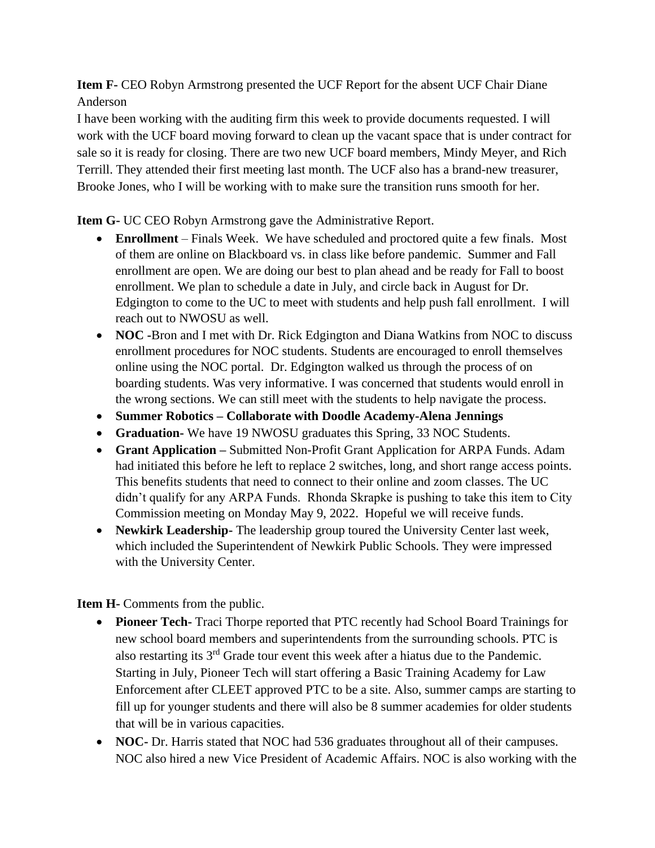**Item F-** CEO Robyn Armstrong presented the UCF Report for the absent UCF Chair Diane Anderson

I have been working with the auditing firm this week to provide documents requested. I will work with the UCF board moving forward to clean up the vacant space that is under contract for sale so it is ready for closing. There are two new UCF board members, Mindy Meyer, and Rich Terrill. They attended their first meeting last month. The UCF also has a brand-new treasurer, Brooke Jones, who I will be working with to make sure the transition runs smooth for her.

**Item G-** UC CEO Robyn Armstrong gave the Administrative Report.

- **Enrollment** Finals Week. We have scheduled and proctored quite a few finals. Most of them are online on Blackboard vs. in class like before pandemic. Summer and Fall enrollment are open. We are doing our best to plan ahead and be ready for Fall to boost enrollment. We plan to schedule a date in July, and circle back in August for Dr. Edgington to come to the UC to meet with students and help push fall enrollment. I will reach out to NWOSU as well.
- **NOC** -Bron and I met with Dr. Rick Edgington and Diana Watkins from NOC to discuss enrollment procedures for NOC students. Students are encouraged to enroll themselves online using the NOC portal. Dr. Edgington walked us through the process of on boarding students. Was very informative. I was concerned that students would enroll in the wrong sections. We can still meet with the students to help navigate the process.
- **Summer Robotics – Collaborate with Doodle Academy-Alena Jennings**
- **Graduation-** We have 19 NWOSU graduates this Spring, 33 NOC Students.
- **Grant Application –** Submitted Non-Profit Grant Application for ARPA Funds. Adam had initiated this before he left to replace 2 switches, long, and short range access points. This benefits students that need to connect to their online and zoom classes. The UC didn't qualify for any ARPA Funds. Rhonda Skrapke is pushing to take this item to City Commission meeting on Monday May 9, 2022. Hopeful we will receive funds.
- **Newkirk Leadership-** The leadership group toured the University Center last week, which included the Superintendent of Newkirk Public Schools. They were impressed with the University Center.

**Item H-** Comments from the public.

- **Pioneer Tech-** Traci Thorpe reported that PTC recently had School Board Trainings for new school board members and superintendents from the surrounding schools. PTC is also restarting its  $3<sup>rd</sup>$  Grade tour event this week after a hiatus due to the Pandemic. Starting in July, Pioneer Tech will start offering a Basic Training Academy for Law Enforcement after CLEET approved PTC to be a site. Also, summer camps are starting to fill up for younger students and there will also be 8 summer academies for older students that will be in various capacities.
- **NOC-** Dr. Harris stated that NOC had 536 graduates throughout all of their campuses. NOC also hired a new Vice President of Academic Affairs. NOC is also working with the